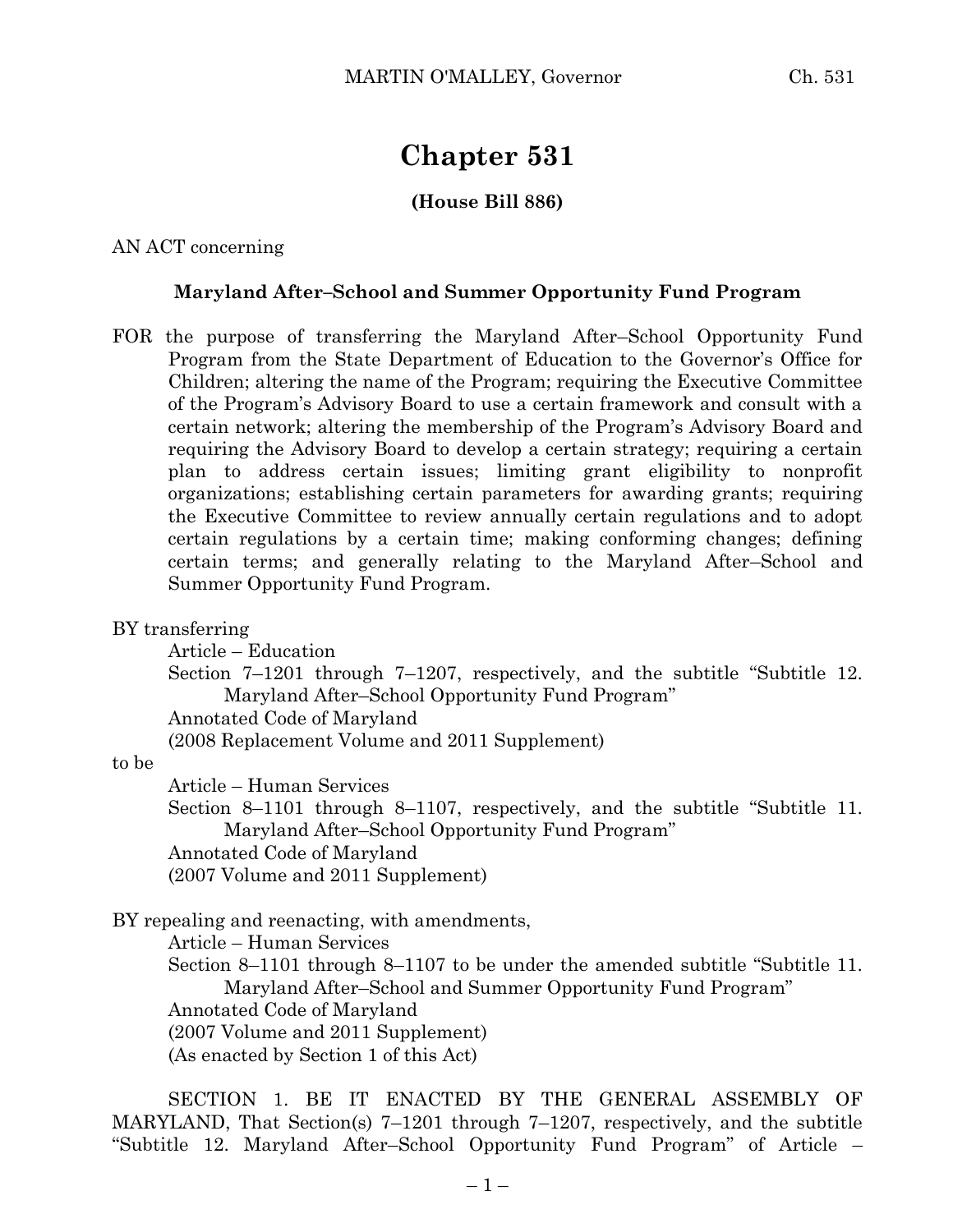# **Chapter 531**

### **(House Bill 886)**

AN ACT concerning

#### **Maryland After–School and Summer Opportunity Fund Program**

FOR the purpose of transferring the Maryland After–School Opportunity Fund Program from the State Department of Education to the Governor's Office for Children; altering the name of the Program; requiring the Executive Committee of the Program's Advisory Board to use a certain framework and consult with a certain network; altering the membership of the Program's Advisory Board and requiring the Advisory Board to develop a certain strategy; requiring a certain plan to address certain issues; limiting grant eligibility to nonprofit organizations; establishing certain parameters for awarding grants; requiring the Executive Committee to review annually certain regulations and to adopt certain regulations by a certain time; making conforming changes; defining certain terms; and generally relating to the Maryland After–School and Summer Opportunity Fund Program.

BY transferring

Article – Education

Section 7–1201 through 7–1207, respectively, and the subtitle "Subtitle 12. Maryland After–School Opportunity Fund Program"

Annotated Code of Maryland

(2008 Replacement Volume and 2011 Supplement)

to be

Article – Human Services

Section 8–1101 through 8–1107, respectively, and the subtitle "Subtitle 11. Maryland After–School Opportunity Fund Program" Annotated Code of Maryland

(2007 Volume and 2011 Supplement)

BY repealing and reenacting, with amendments,

Article – Human Services

Section 8–1101 through 8–1107 to be under the amended subtitle "Subtitle 11. Maryland After–School and Summer Opportunity Fund Program" Annotated Code of Maryland (2007 Volume and 2011 Supplement) (As enacted by Section 1 of this Act)

SECTION 1. BE IT ENACTED BY THE GENERAL ASSEMBLY OF MARYLAND, That Section(s) 7–1201 through 7–1207, respectively, and the subtitle "Subtitle 12. Maryland After–School Opportunity Fund Program" of Article –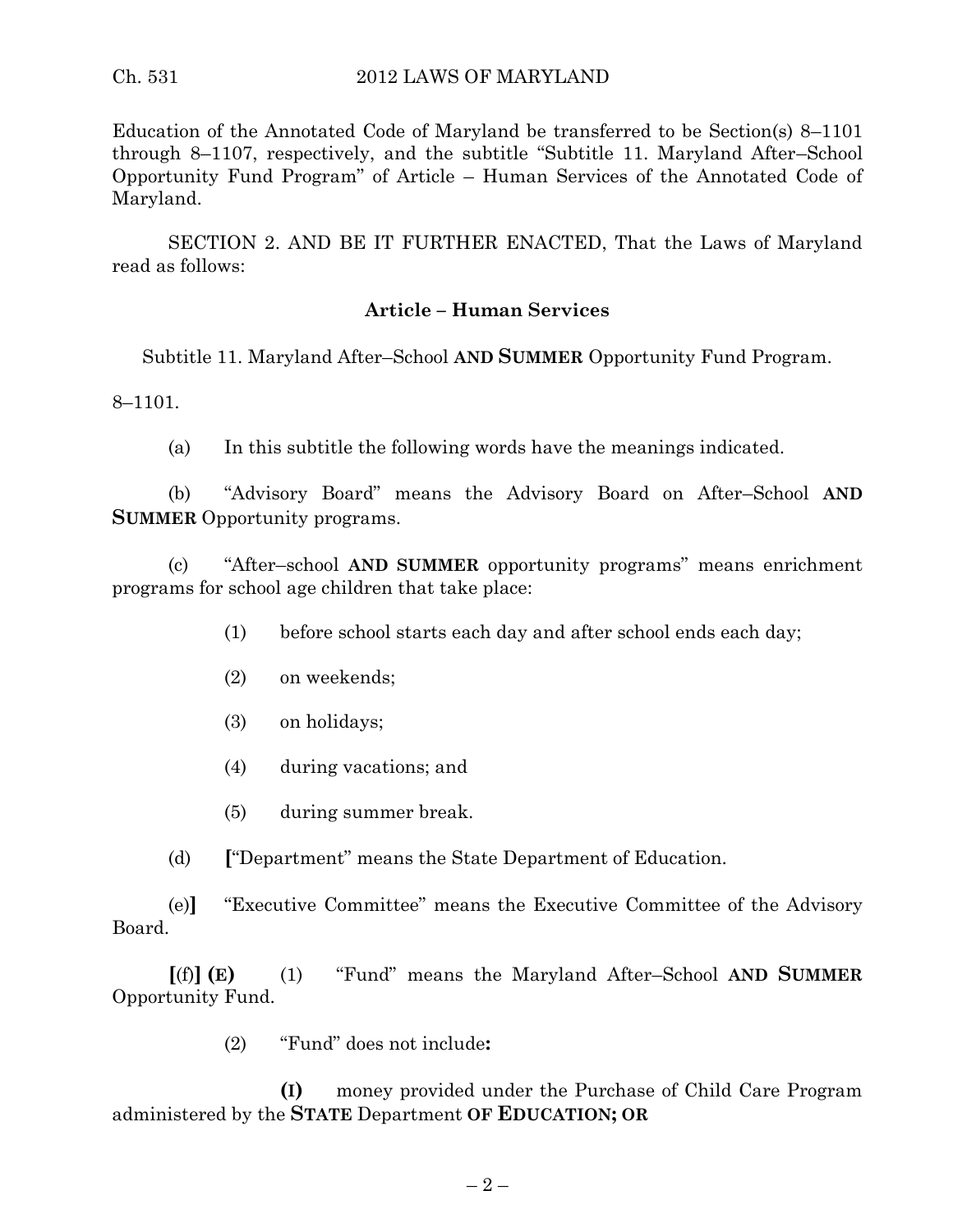Education of the Annotated Code of Maryland be transferred to be Section(s) 8–1101 through 8–1107, respectively, and the subtitle "Subtitle 11. Maryland After–School Opportunity Fund Program" of Article – Human Services of the Annotated Code of Maryland.

SECTION 2. AND BE IT FURTHER ENACTED, That the Laws of Maryland read as follows:

#### **Article – Human Services**

Subtitle 11. Maryland After–School **AND SUMMER** Opportunity Fund Program.

8–1101.

(a) In this subtitle the following words have the meanings indicated.

(b) "Advisory Board" means the Advisory Board on After–School **AND SUMMER** Opportunity programs.

(c) "After–school **AND SUMMER** opportunity programs" means enrichment programs for school age children that take place:

- (1) before school starts each day and after school ends each day;
- (2) on weekends;
- (3) on holidays;
- (4) during vacations; and
- (5) during summer break.
- (d) **[**"Department" means the State Department of Education.

(e)**]** "Executive Committee" means the Executive Committee of the Advisory Board.

**[**(f)**] (E)** (1) "Fund" means the Maryland After–School **AND SUMMER** Opportunity Fund.

(2) "Fund" does not include**:**

**(I)** money provided under the Purchase of Child Care Program administered by the **STATE** Department **OF EDUCATION; OR**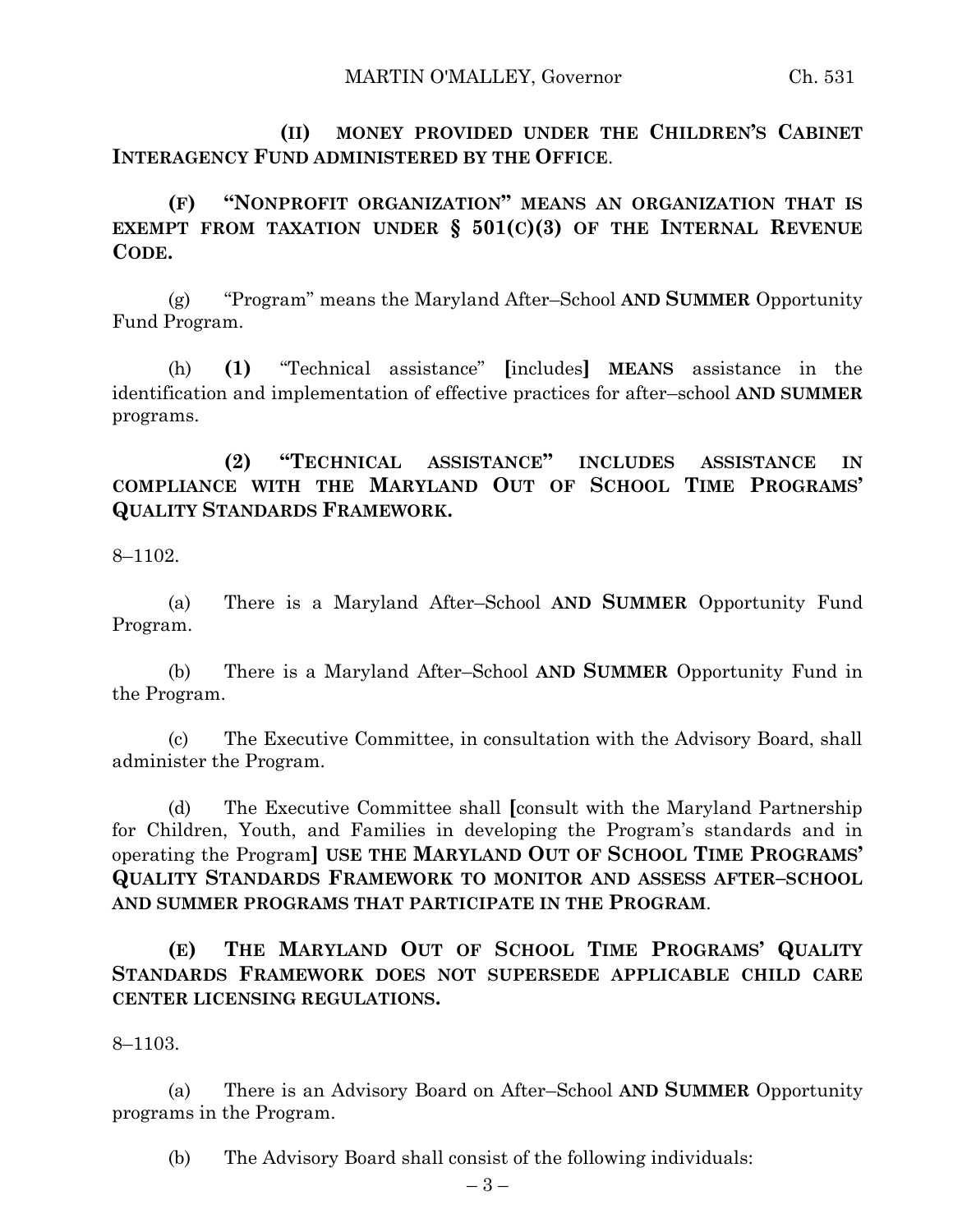**(II) MONEY PROVIDED UNDER THE CHILDREN'S CABINET INTERAGENCY FUND ADMINISTERED BY THE OFFICE**.

**(F) "NONPROFIT ORGANIZATION" MEANS AN ORGANIZATION THAT IS EXEMPT FROM TAXATION UNDER § 501(C)(3) OF THE INTERNAL REVENUE CODE.**

(g) "Program" means the Maryland After–School **AND SUMMER** Opportunity Fund Program.

(h) **(1)** "Technical assistance" **[**includes**] MEANS** assistance in the identification and implementation of effective practices for after–school **AND SUMMER** programs.

**(2) "TECHNICAL ASSISTANCE" INCLUDES ASSISTANCE IN COMPLIANCE WITH THE MARYLAND OUT OF SCHOOL TIME PROGRAMS' QUALITY STANDARDS FRAMEWORK.**

8–1102.

(a) There is a Maryland After–School **AND SUMMER** Opportunity Fund Program.

(b) There is a Maryland After–School **AND SUMMER** Opportunity Fund in the Program.

(c) The Executive Committee, in consultation with the Advisory Board, shall administer the Program.

(d) The Executive Committee shall **[**consult with the Maryland Partnership for Children, Youth, and Families in developing the Program's standards and in operating the Program**] USE THE MARYLAND OUT OF SCHOOL TIME PROGRAMS' QUALITY STANDARDS FRAMEWORK TO MONITOR AND ASSESS AFTER–SCHOOL AND SUMMER PROGRAMS THAT PARTICIPATE IN THE PROGRAM**.

**(E) THE MARYLAND OUT OF SCHOOL TIME PROGRAMS' QUALITY STANDARDS FRAMEWORK DOES NOT SUPERSEDE APPLICABLE CHILD CARE CENTER LICENSING REGULATIONS.**

8–1103.

(a) There is an Advisory Board on After–School **AND SUMMER** Opportunity programs in the Program.

(b) The Advisory Board shall consist of the following individuals: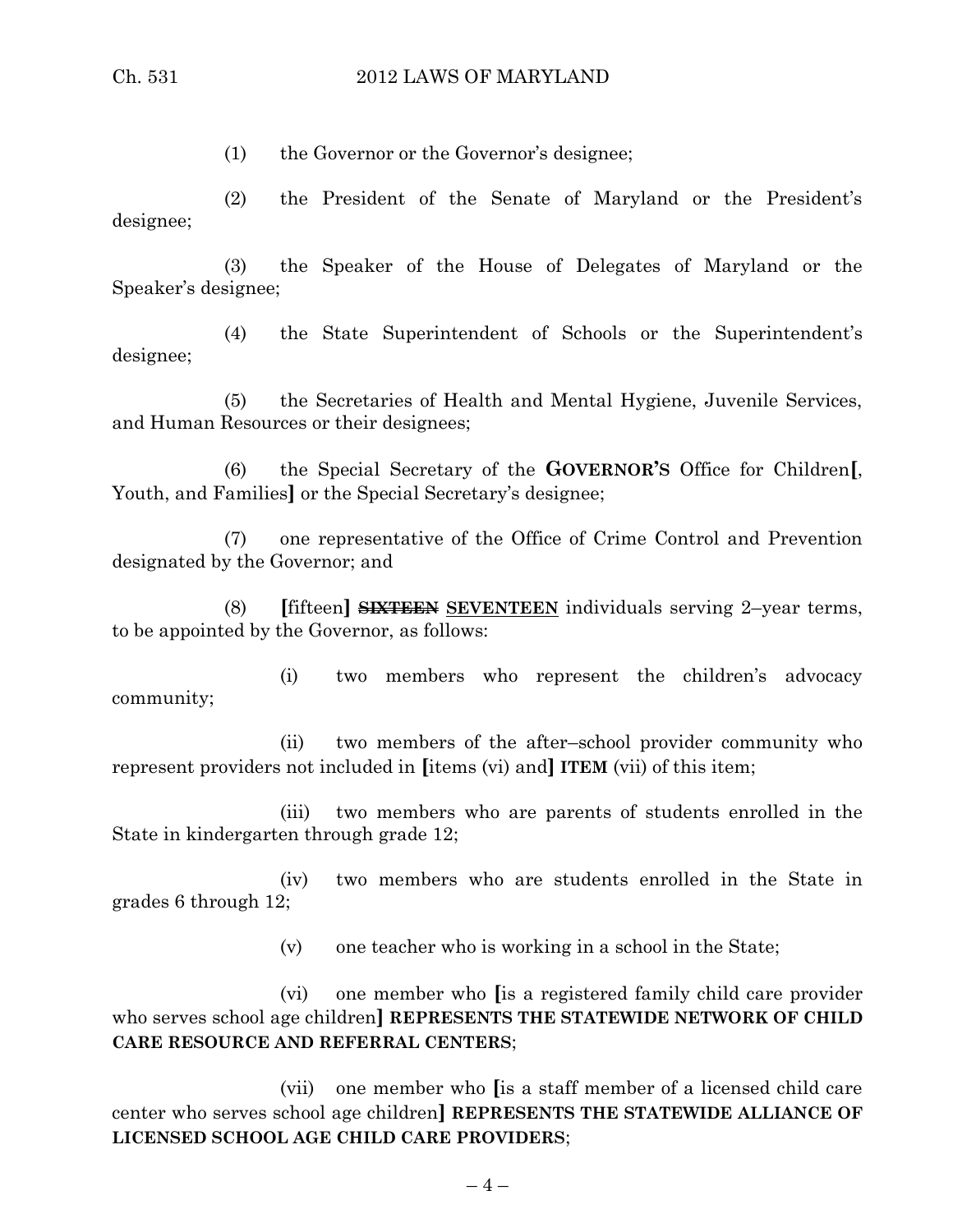(1) the Governor or the Governor's designee;

(2) the President of the Senate of Maryland or the President's designee;

(3) the Speaker of the House of Delegates of Maryland or the Speaker's designee;

(4) the State Superintendent of Schools or the Superintendent's designee;

(5) the Secretaries of Health and Mental Hygiene, Juvenile Services, and Human Resources or their designees;

(6) the Special Secretary of the **GOVERNOR'S** Office for Children**[**, Youth, and Families**]** or the Special Secretary's designee;

(7) one representative of the Office of Crime Control and Prevention designated by the Governor; and

(8) **[**fifteen**] SIXTEEN SEVENTEEN** individuals serving 2–year terms, to be appointed by the Governor, as follows:

(i) two members who represent the children's advocacy community;

(ii) two members of the after–school provider community who represent providers not included in **[**items (vi) and**] ITEM** (vii) of this item;

(iii) two members who are parents of students enrolled in the State in kindergarten through grade 12;

(iv) two members who are students enrolled in the State in grades 6 through 12;

(v) one teacher who is working in a school in the State;

(vi) one member who **[**is a registered family child care provider who serves school age children**] REPRESENTS THE STATEWIDE NETWORK OF CHILD CARE RESOURCE AND REFERRAL CENTERS**;

(vii) one member who **[**is a staff member of a licensed child care center who serves school age children**] REPRESENTS THE STATEWIDE ALLIANCE OF LICENSED SCHOOL AGE CHILD CARE PROVIDERS**;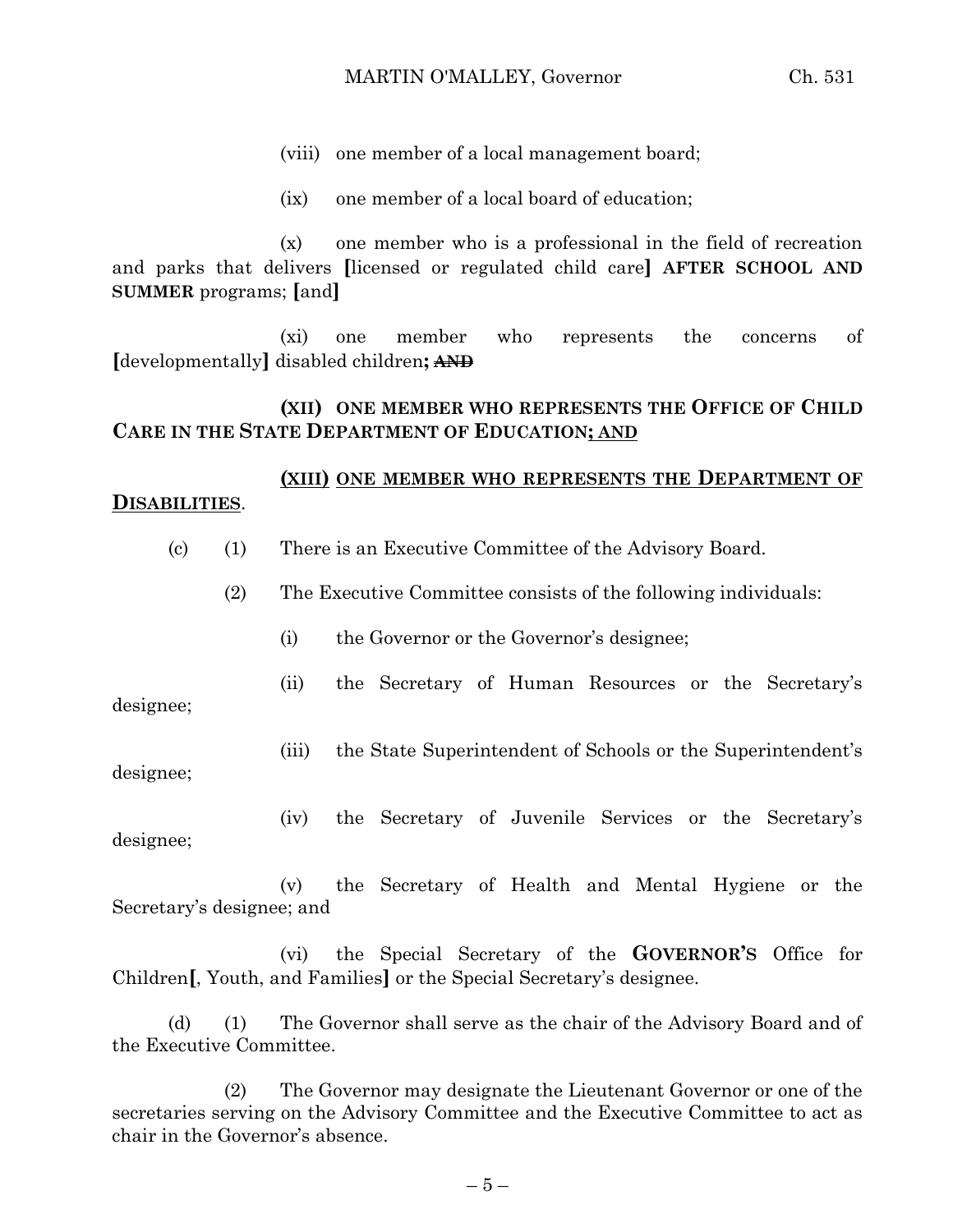(viii) one member of a local management board;

(ix) one member of a local board of education;

(x) one member who is a professional in the field of recreation and parks that delivers **[**licensed or regulated child care**] AFTER SCHOOL AND SUMMER** programs; **[**and**]**

(xi) one member who represents the concerns of **[**developmentally**]** disabled children**; AND**

# **(XII) ONE MEMBER WHO REPRESENTS THE OFFICE OF CHILD CARE IN THE STATE DEPARTMENT OF EDUCATION; AND**

# **(XIII) ONE MEMBER WHO REPRESENTS THE DEPARTMENT OF DISABILITIES**.

(c) (1) There is an Executive Committee of the Advisory Board.

(2) The Executive Committee consists of the following individuals:

(i) the Governor or the Governor's designee;

(ii) the Secretary of Human Resources or the Secretary's

designee;

(iii) the State Superintendent of Schools or the Superintendent's

designee;

(iv) the Secretary of Juvenile Services or the Secretary's

designee;

(v) the Secretary of Health and Mental Hygiene or the Secretary's designee; and

(vi) the Special Secretary of the **GOVERNOR'S** Office for Children**[**, Youth, and Families**]** or the Special Secretary's designee.

(d) (1) The Governor shall serve as the chair of the Advisory Board and of the Executive Committee.

(2) The Governor may designate the Lieutenant Governor or one of the secretaries serving on the Advisory Committee and the Executive Committee to act as chair in the Governor's absence.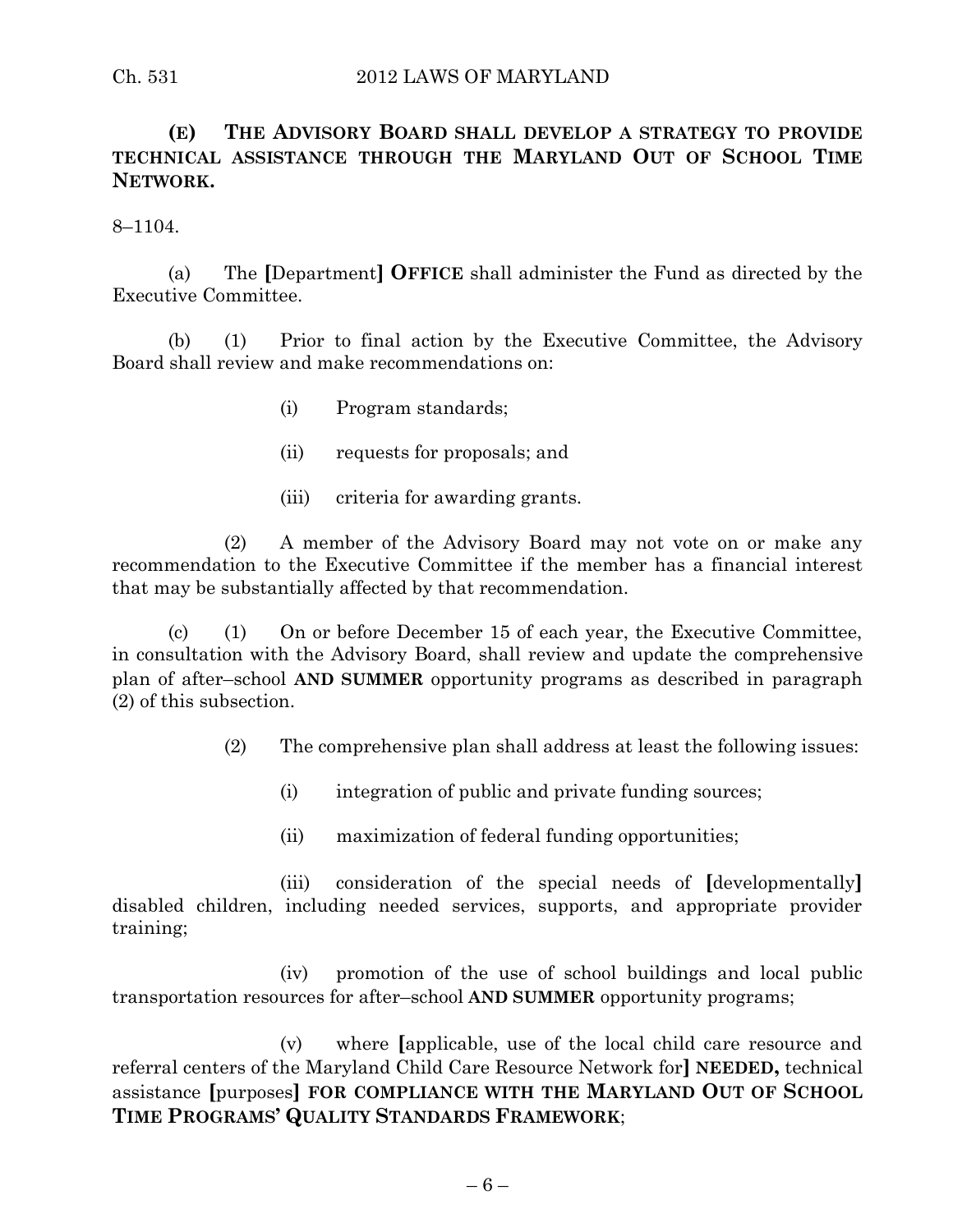# **(E) THE ADVISORY BOARD SHALL DEVELOP A STRATEGY TO PROVIDE TECHNICAL ASSISTANCE THROUGH THE MARYLAND OUT OF SCHOOL TIME NETWORK.**

8–1104.

(a) The **[**Department**] OFFICE** shall administer the Fund as directed by the Executive Committee.

(b) (1) Prior to final action by the Executive Committee, the Advisory Board shall review and make recommendations on:

- (i) Program standards;
- (ii) requests for proposals; and
- (iii) criteria for awarding grants.

(2) A member of the Advisory Board may not vote on or make any recommendation to the Executive Committee if the member has a financial interest that may be substantially affected by that recommendation.

(c) (1) On or before December 15 of each year, the Executive Committee, in consultation with the Advisory Board, shall review and update the comprehensive plan of after–school **AND SUMMER** opportunity programs as described in paragraph (2) of this subsection.

(2) The comprehensive plan shall address at least the following issues:

- (i) integration of public and private funding sources;
- (ii) maximization of federal funding opportunities;

(iii) consideration of the special needs of **[**developmentally**]** disabled children, including needed services, supports, and appropriate provider training;

(iv) promotion of the use of school buildings and local public transportation resources for after–school **AND SUMMER** opportunity programs;

(v) where **[**applicable, use of the local child care resource and referral centers of the Maryland Child Care Resource Network for**] NEEDED,** technical assistance **[**purposes**] FOR COMPLIANCE WITH THE MARYLAND OUT OF SCHOOL TIME PROGRAMS' QUALITY STANDARDS FRAMEWORK**;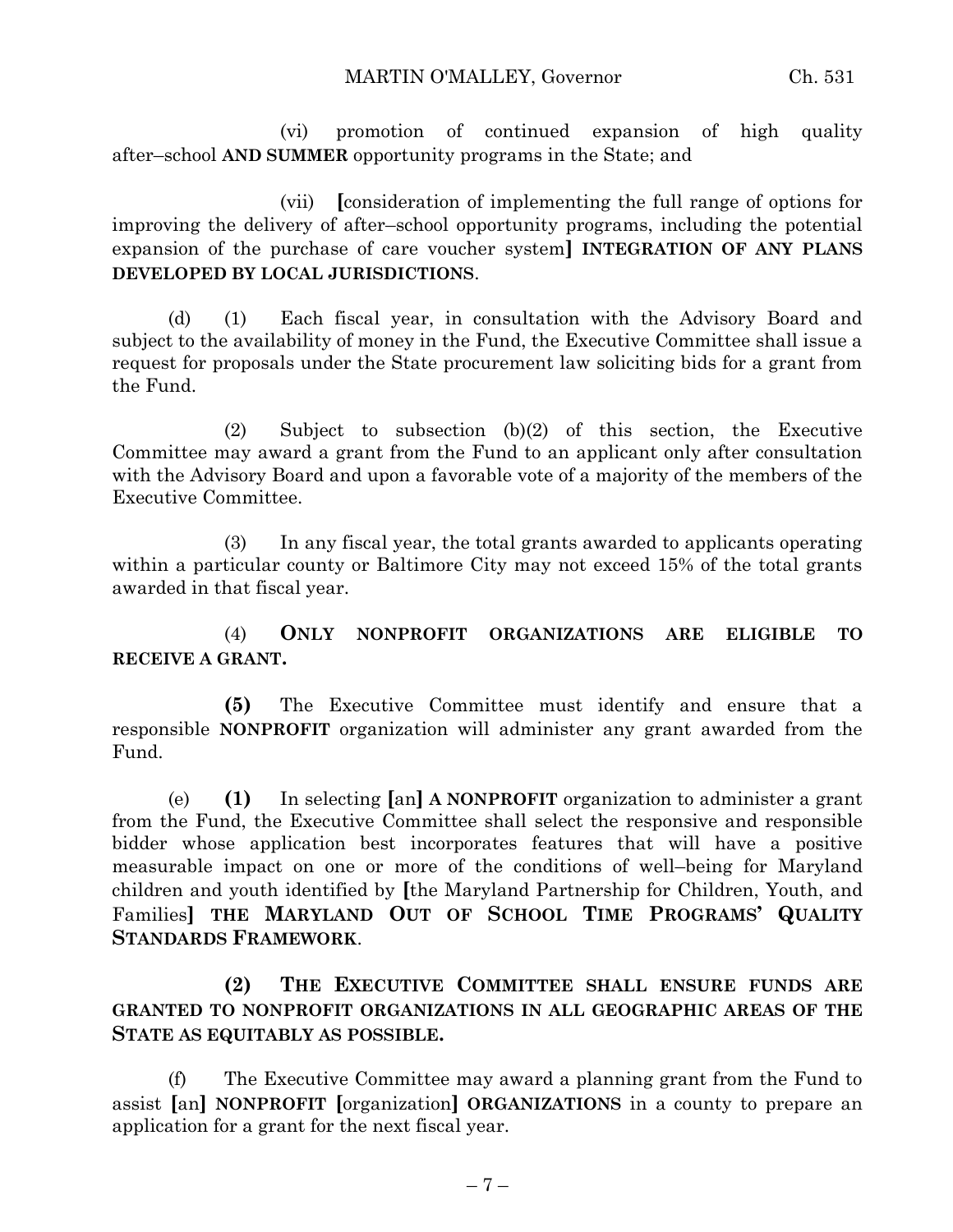(vi) promotion of continued expansion of high quality after–school **AND SUMMER** opportunity programs in the State; and

(vii) **[**consideration of implementing the full range of options for improving the delivery of after–school opportunity programs, including the potential expansion of the purchase of care voucher system**] INTEGRATION OF ANY PLANS DEVELOPED BY LOCAL JURISDICTIONS**.

(d) (1) Each fiscal year, in consultation with the Advisory Board and subject to the availability of money in the Fund, the Executive Committee shall issue a request for proposals under the State procurement law soliciting bids for a grant from the Fund.

(2) Subject to subsection (b)(2) of this section, the Executive Committee may award a grant from the Fund to an applicant only after consultation with the Advisory Board and upon a favorable vote of a majority of the members of the Executive Committee.

(3) In any fiscal year, the total grants awarded to applicants operating within a particular county or Baltimore City may not exceed 15% of the total grants awarded in that fiscal year.

(4) **ONLY NONPROFIT ORGANIZATIONS ARE ELIGIBLE TO RECEIVE A GRANT.**

**(5)** The Executive Committee must identify and ensure that a responsible **NONPROFIT** organization will administer any grant awarded from the Fund.

(e) **(1)** In selecting **[**an**] A NONPROFIT** organization to administer a grant from the Fund, the Executive Committee shall select the responsive and responsible bidder whose application best incorporates features that will have a positive measurable impact on one or more of the conditions of well–being for Maryland children and youth identified by **[**the Maryland Partnership for Children, Youth, and Families**] THE MARYLAND OUT OF SCHOOL TIME PROGRAMS' QUALITY STANDARDS FRAMEWORK**.

**(2) THE EXECUTIVE COMMITTEE SHALL ENSURE FUNDS ARE GRANTED TO NONPROFIT ORGANIZATIONS IN ALL GEOGRAPHIC AREAS OF THE STATE AS EQUITABLY AS POSSIBLE.**

(f) The Executive Committee may award a planning grant from the Fund to assist **[**an**] NONPROFIT [**organization**] ORGANIZATIONS** in a county to prepare an application for a grant for the next fiscal year.